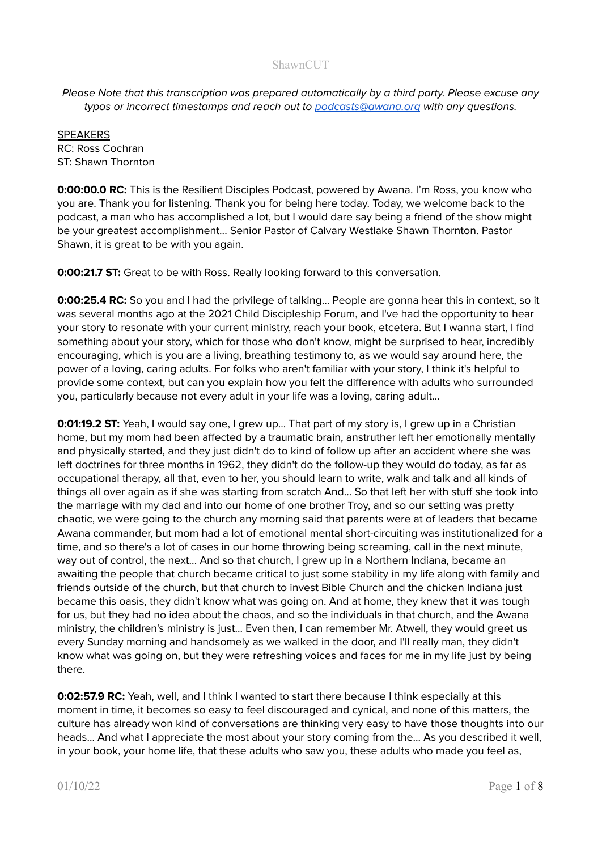Please Note that this transcription was prepared automatically by a third party. Please excuse any typos or incorrect timestamps and reach out to [podcasts@awana.org](mailto:podcasts@awana.org) with any questions.

SPEAKERS RC: Ross Cochran ST: Shawn Thornton

**0:00:00.0 RC:** This is the Resilient Disciples Podcast, powered by Awana. I'm Ross, you know who you are. Thank you for listening. Thank you for being here today. Today, we welcome back to the podcast, a man who has accomplished a lot, but I would dare say being a friend of the show might be your greatest accomplishment... Senior Pastor of Calvary Westlake Shawn Thornton. Pastor Shawn, it is great to be with you again.

**0:00:21.7 ST:** Great to be with Ross. Really looking forward to this conversation.

**0:00:25.4 RC:** So you and I had the privilege of talking... People are gonna hear this in context, so it was several months ago at the 2021 Child Discipleship Forum, and I've had the opportunity to hear your story to resonate with your current ministry, reach your book, etcetera. But I wanna start, I find something about your story, which for those who don't know, might be surprised to hear, incredibly encouraging, which is you are a living, breathing testimony to, as we would say around here, the power of a loving, caring adults. For folks who aren't familiar with your story, I think it's helpful to provide some context, but can you explain how you felt the difference with adults who surrounded you, particularly because not every adult in your life was a loving, caring adult...

**0:01:19.2 ST:** Yeah, I would say one, I grew up... That part of my story is, I grew up in a Christian home, but my mom had been affected by a traumatic brain, anstruther left her emotionally mentally and physically started, and they just didn't do to kind of follow up after an accident where she was left doctrines for three months in 1962, they didn't do the follow-up they would do today, as far as occupational therapy, all that, even to her, you should learn to write, walk and talk and all kinds of things all over again as if she was starting from scratch And... So that left her with stuff she took into the marriage with my dad and into our home of one brother Troy, and so our setting was pretty chaotic, we were going to the church any morning said that parents were at of leaders that became Awana commander, but mom had a lot of emotional mental short-circuiting was institutionalized for a time, and so there's a lot of cases in our home throwing being screaming, call in the next minute, way out of control, the next... And so that church, I grew up in a Northern Indiana, became an awaiting the people that church became critical to just some stability in my life along with family and friends outside of the church, but that church to invest Bible Church and the chicken Indiana just became this oasis, they didn't know what was going on. And at home, they knew that it was tough for us, but they had no idea about the chaos, and so the individuals in that church, and the Awana ministry, the children's ministry is just... Even then, I can remember Mr. Atwell, they would greet us every Sunday morning and handsomely as we walked in the door, and I'll really man, they didn't know what was going on, but they were refreshing voices and faces for me in my life just by being there.

**0:02:57.9 RC:** Yeah, well, and I think I wanted to start there because I think especially at this moment in time, it becomes so easy to feel discouraged and cynical, and none of this matters, the culture has already won kind of conversations are thinking very easy to have those thoughts into our heads... And what I appreciate the most about your story coming from the... As you described it well, in your book, your home life, that these adults who saw you, these adults who made you feel as,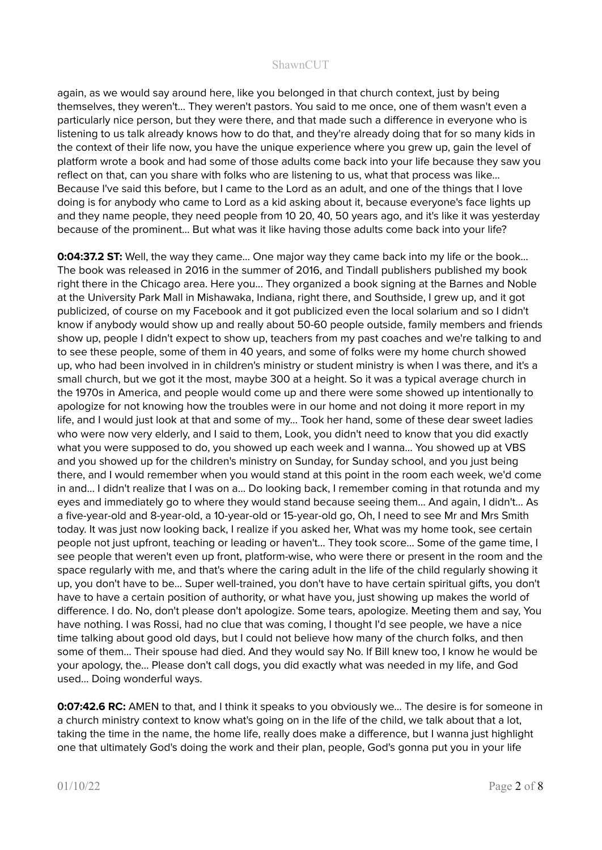again, as we would say around here, like you belonged in that church context, just by being themselves, they weren't... They weren't pastors. You said to me once, one of them wasn't even a particularly nice person, but they were there, and that made such a difference in everyone who is listening to us talk already knows how to do that, and they're already doing that for so many kids in the context of their life now, you have the unique experience where you grew up, gain the level of platform wrote a book and had some of those adults come back into your life because they saw you reflect on that, can you share with folks who are listening to us, what that process was like… Because I've said this before, but I came to the Lord as an adult, and one of the things that I love doing is for anybody who came to Lord as a kid asking about it, because everyone's face lights up and they name people, they need people from 10 20, 40, 50 years ago, and it's like it was yesterday because of the prominent... But what was it like having those adults come back into your life?

**0:04:37.2 ST:** Well, the way they came... One major way they came back into my life or the book... The book was released in 2016 in the summer of 2016, and Tindall publishers published my book right there in the Chicago area. Here you... They organized a book signing at the Barnes and Noble at the University Park Mall in Mishawaka, Indiana, right there, and Southside, I grew up, and it got publicized, of course on my Facebook and it got publicized even the local solarium and so I didn't know if anybody would show up and really about 50-60 people outside, family members and friends show up, people I didn't expect to show up, teachers from my past coaches and we're talking to and to see these people, some of them in 40 years, and some of folks were my home church showed up, who had been involved in in children's ministry or student ministry is when I was there, and it's a small church, but we got it the most, maybe 300 at a height. So it was a typical average church in the 1970s in America, and people would come up and there were some showed up intentionally to apologize for not knowing how the troubles were in our home and not doing it more report in my life, and I would just look at that and some of my… Took her hand, some of these dear sweet ladies who were now very elderly, and I said to them, Look, you didn't need to know that you did exactly what you were supposed to do, you showed up each week and I wanna... You showed up at VBS and you showed up for the children's ministry on Sunday, for Sunday school, and you just being there, and I would remember when you would stand at this point in the room each week, we'd come in and... I didn't realize that I was on a... Do looking back, I remember coming in that rotunda and my eyes and immediately go to where they would stand because seeing them... And again, I didn't... As a five-year-old and 8-year-old, a 10-year-old or 15-year-old go, Oh, I need to see Mr and Mrs Smith today. It was just now looking back, I realize if you asked her, What was my home took, see certain people not just upfront, teaching or leading or haven't... They took score... Some of the game time, I see people that weren't even up front, platform-wise, who were there or present in the room and the space regularly with me, and that's where the caring adult in the life of the child regularly showing it up, you don't have to be… Super well-trained, you don't have to have certain spiritual gifts, you don't have to have a certain position of authority, or what have you, just showing up makes the world of difference. I do. No, don't please don't apologize. Some tears, apologize. Meeting them and say, You have nothing. I was Rossi, had no clue that was coming, I thought I'd see people, we have a nice time talking about good old days, but I could not believe how many of the church folks, and then some of them... Their spouse had died. And they would say No. If Bill knew too, I know he would be your apology, the... Please don't call dogs, you did exactly what was needed in my life, and God used... Doing wonderful ways.

**0:07:42.6 RC:** AMEN to that, and I think it speaks to you obviously we... The desire is for someone in a church ministry context to know what's going on in the life of the child, we talk about that a lot, taking the time in the name, the home life, really does make a difference, but I wanna just highlight one that ultimately God's doing the work and their plan, people, God's gonna put you in your life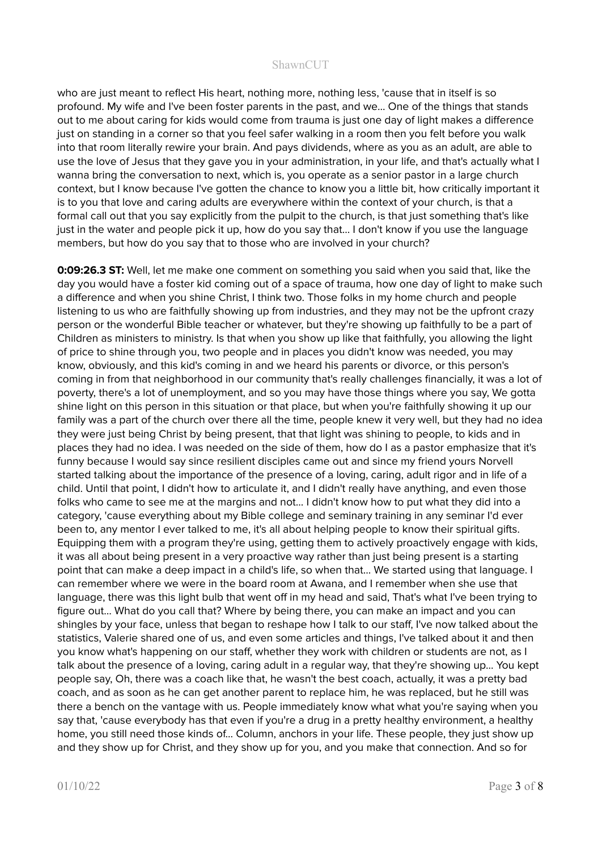who are just meant to reflect His heart, nothing more, nothing less, 'cause that in itself is so profound. My wife and I've been foster parents in the past, and we... One of the things that stands out to me about caring for kids would come from trauma is just one day of light makes a difference just on standing in a corner so that you feel safer walking in a room then you felt before you walk into that room literally rewire your brain. And pays dividends, where as you as an adult, are able to use the love of Jesus that they gave you in your administration, in your life, and that's actually what I wanna bring the conversation to next, which is, you operate as a senior pastor in a large church context, but I know because I've gotten the chance to know you a little bit, how critically important it is to you that love and caring adults are everywhere within the context of your church, is that a formal call out that you say explicitly from the pulpit to the church, is that just something that's like just in the water and people pick it up, how do you say that… I don't know if you use the language members, but how do you say that to those who are involved in your church?

**0:09:26.3 ST:** Well, let me make one comment on something you said when you said that, like the day you would have a foster kid coming out of a space of trauma, how one day of light to make such a difference and when you shine Christ, I think two. Those folks in my home church and people listening to us who are faithfully showing up from industries, and they may not be the upfront crazy person or the wonderful Bible teacher or whatever, but they're showing up faithfully to be a part of Children as ministers to ministry. Is that when you show up like that faithfully, you allowing the light of price to shine through you, two people and in places you didn't know was needed, you may know, obviously, and this kid's coming in and we heard his parents or divorce, or this person's coming in from that neighborhood in our community that's really challenges financially, it was a lot of poverty, there's a lot of unemployment, and so you may have those things where you say, We gotta shine light on this person in this situation or that place, but when you're faithfully showing it up our family was a part of the church over there all the time, people knew it very well, but they had no idea they were just being Christ by being present, that that light was shining to people, to kids and in places they had no idea. I was needed on the side of them, how do I as a pastor emphasize that it's funny because I would say since resilient disciples came out and since my friend yours Norvell started talking about the importance of the presence of a loving, caring, adult rigor and in life of a child. Until that point, I didn't how to articulate it, and I didn't really have anything, and even those folks who came to see me at the margins and not... I didn't know how to put what they did into a category, 'cause everything about my Bible college and seminary training in any seminar I'd ever been to, any mentor I ever talked to me, it's all about helping people to know their spiritual gifts. Equipping them with a program they're using, getting them to actively proactively engage with kids, it was all about being present in a very proactive way rather than just being present is a starting point that can make a deep impact in a child's life, so when that... We started using that language. I can remember where we were in the board room at Awana, and I remember when she use that language, there was this light bulb that went off in my head and said, That's what I've been trying to figure out… What do you call that? Where by being there, you can make an impact and you can shingles by your face, unless that began to reshape how I talk to our staff, I've now talked about the statistics, Valerie shared one of us, and even some articles and things, I've talked about it and then you know what's happening on our staff, whether they work with children or students are not, as I talk about the presence of a loving, caring adult in a regular way, that they're showing up... You kept people say, Oh, there was a coach like that, he wasn't the best coach, actually, it was a pretty bad coach, and as soon as he can get another parent to replace him, he was replaced, but he still was there a bench on the vantage with us. People immediately know what what you're saying when you say that, 'cause everybody has that even if you're a drug in a pretty healthy environment, a healthy home, you still need those kinds of... Column, anchors in your life. These people, they just show up and they show up for Christ, and they show up for you, and you make that connection. And so for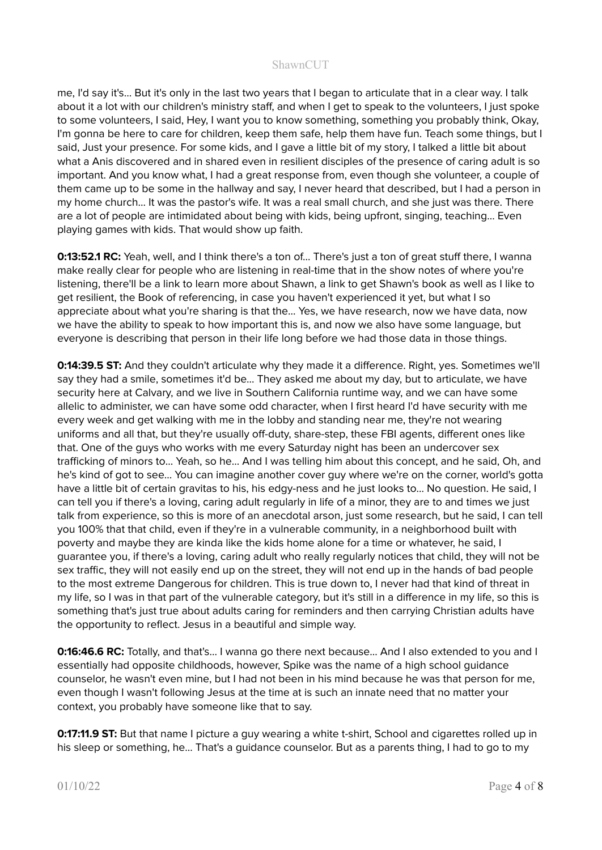me, I'd say it's... But it's only in the last two years that I began to articulate that in a clear way. I talk about it a lot with our children's ministry staff, and when I get to speak to the volunteers, I just spoke to some volunteers, I said, Hey, I want you to know something, something you probably think, Okay, I'm gonna be here to care for children, keep them safe, help them have fun. Teach some things, but I said, Just your presence. For some kids, and I gave a little bit of my story, I talked a little bit about what a Anis discovered and in shared even in resilient disciples of the presence of caring adult is so important. And you know what, I had a great response from, even though she volunteer, a couple of them came up to be some in the hallway and say, I never heard that described, but I had a person in my home church... It was the pastor's wife. It was a real small church, and she just was there. There are a lot of people are intimidated about being with kids, being upfront, singing, teaching… Even playing games with kids. That would show up faith.

**0:13:52.1 RC:** Yeah, well, and I think there's a ton of... There's just a ton of great stuff there, I wanna make really clear for people who are listening in real-time that in the show notes of where you're listening, there'll be a link to learn more about Shawn, a link to get Shawn's book as well as I like to get resilient, the Book of referencing, in case you haven't experienced it yet, but what I so appreciate about what you're sharing is that the... Yes, we have research, now we have data, now we have the ability to speak to how important this is, and now we also have some language, but everyone is describing that person in their life long before we had those data in those things.

**0:14:39.5 ST:** And they couldn't articulate why they made it a difference. Right, yes. Sometimes we'll say they had a smile, sometimes it'd be... They asked me about my day, but to articulate, we have security here at Calvary, and we live in Southern California runtime way, and we can have some allelic to administer, we can have some odd character, when I first heard I'd have security with me every week and get walking with me in the lobby and standing near me, they're not wearing uniforms and all that, but they're usually off-duty, share-step, these FBI agents, different ones like that. One of the guys who works with me every Saturday night has been an undercover sex trafficking of minors to... Yeah, so he... And I was telling him about this concept, and he said, Oh, and he's kind of got to see... You can imagine another cover guy where we're on the corner, world's gotta have a little bit of certain gravitas to his, his edgy-ness and he just looks to... No question. He said, I can tell you if there's a loving, caring adult regularly in life of a minor, they are to and times we just talk from experience, so this is more of an anecdotal arson, just some research, but he said, I can tell you 100% that that child, even if they're in a vulnerable community, in a neighborhood built with poverty and maybe they are kinda like the kids home alone for a time or whatever, he said, I guarantee you, if there's a loving, caring adult who really regularly notices that child, they will not be sex traffic, they will not easily end up on the street, they will not end up in the hands of bad people to the most extreme Dangerous for children. This is true down to, I never had that kind of threat in my life, so I was in that part of the vulnerable category, but it's still in a difference in my life, so this is something that's just true about adults caring for reminders and then carrying Christian adults have the opportunity to reflect. Jesus in a beautiful and simple way.

**0:16:46.6 RC:** Totally, and that's... I wanna go there next because... And I also extended to you and I essentially had opposite childhoods, however, Spike was the name of a high school guidance counselor, he wasn't even mine, but I had not been in his mind because he was that person for me, even though I wasn't following Jesus at the time at is such an innate need that no matter your context, you probably have someone like that to say.

**0:17:11.9 ST:** But that name I picture a guy wearing a white t-shirt, School and cigarettes rolled up in his sleep or something, he... That's a guidance counselor. But as a parents thing, I had to go to my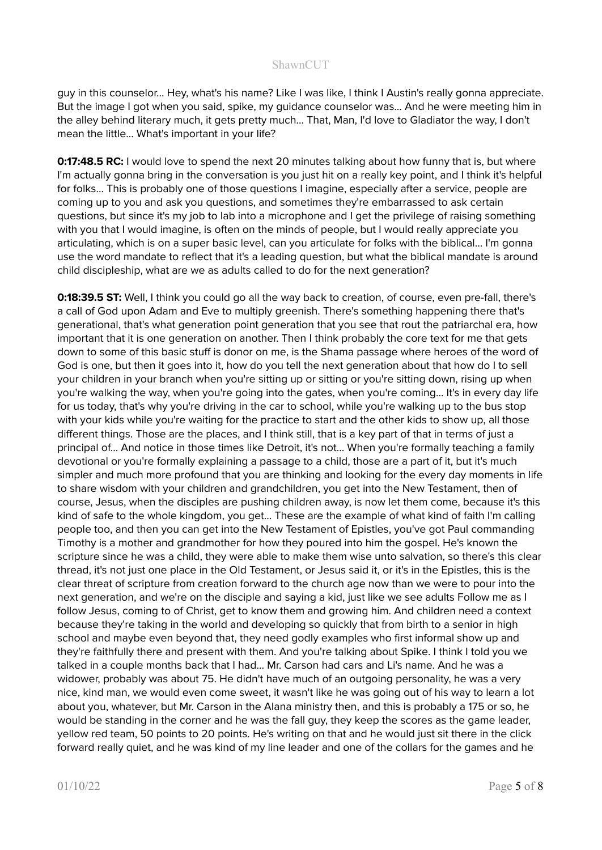guy in this counselor... Hey, what's his name? Like I was like, I think I Austin's really gonna appreciate. But the image I got when you said, spike, my guidance counselor was... And he were meeting him in the alley behind literary much, it gets pretty much... That, Man, I'd love to Gladiator the way, I don't mean the little... What's important in your life?

**0:17:48.5 RC:** I would love to spend the next 20 minutes talking about how funny that is, but where I'm actually gonna bring in the conversation is you just hit on a really key point, and I think it's helpful for folks... This is probably one of those questions I imagine, especially after a service, people are coming up to you and ask you questions, and sometimes they're embarrassed to ask certain questions, but since it's my job to lab into a microphone and I get the privilege of raising something with you that I would imagine, is often on the minds of people, but I would really appreciate you articulating, which is on a super basic level, can you articulate for folks with the biblical... I'm gonna use the word mandate to reflect that it's a leading question, but what the biblical mandate is around child discipleship, what are we as adults called to do for the next generation?

**0:18:39.5 ST:** Well, I think you could go all the way back to creation, of course, even pre-fall, there's a call of God upon Adam and Eve to multiply greenish. There's something happening there that's generational, that's what generation point generation that you see that rout the patriarchal era, how important that it is one generation on another. Then I think probably the core text for me that gets down to some of this basic stuff is donor on me, is the Shama passage where heroes of the word of God is one, but then it goes into it, how do you tell the next generation about that how do I to sell your children in your branch when you're sitting up or sitting or you're sitting down, rising up when you're walking the way, when you're going into the gates, when you're coming... It's in every day life for us today, that's why you're driving in the car to school, while you're walking up to the bus stop with your kids while you're waiting for the practice to start and the other kids to show up, all those different things. Those are the places, and I think still, that is a key part of that in terms of just a principal of… And notice in those times like Detroit, it's not... When you're formally teaching a family devotional or you're formally explaining a passage to a child, those are a part of it, but it's much simpler and much more profound that you are thinking and looking for the every day moments in life to share wisdom with your children and grandchildren, you get into the New Testament, then of course, Jesus, when the disciples are pushing children away, is now let them come, because it's this kind of safe to the whole kingdom, you get... These are the example of what kind of faith I'm calling people too, and then you can get into the New Testament of Epistles, you've got Paul commanding Timothy is a mother and grandmother for how they poured into him the gospel. He's known the scripture since he was a child, they were able to make them wise unto salvation, so there's this clear thread, it's not just one place in the Old Testament, or Jesus said it, or it's in the Epistles, this is the clear threat of scripture from creation forward to the church age now than we were to pour into the next generation, and we're on the disciple and saying a kid, just like we see adults Follow me as I follow Jesus, coming to of Christ, get to know them and growing him. And children need a context because they're taking in the world and developing so quickly that from birth to a senior in high school and maybe even beyond that, they need godly examples who first informal show up and they're faithfully there and present with them. And you're talking about Spike. I think I told you we talked in a couple months back that I had... Mr. Carson had cars and Li's name. And he was a widower, probably was about 75. He didn't have much of an outgoing personality, he was a very nice, kind man, we would even come sweet, it wasn't like he was going out of his way to learn a lot about you, whatever, but Mr. Carson in the Alana ministry then, and this is probably a 175 or so, he would be standing in the corner and he was the fall guy, they keep the scores as the game leader, yellow red team, 50 points to 20 points. He's writing on that and he would just sit there in the click forward really quiet, and he was kind of my line leader and one of the collars for the games and he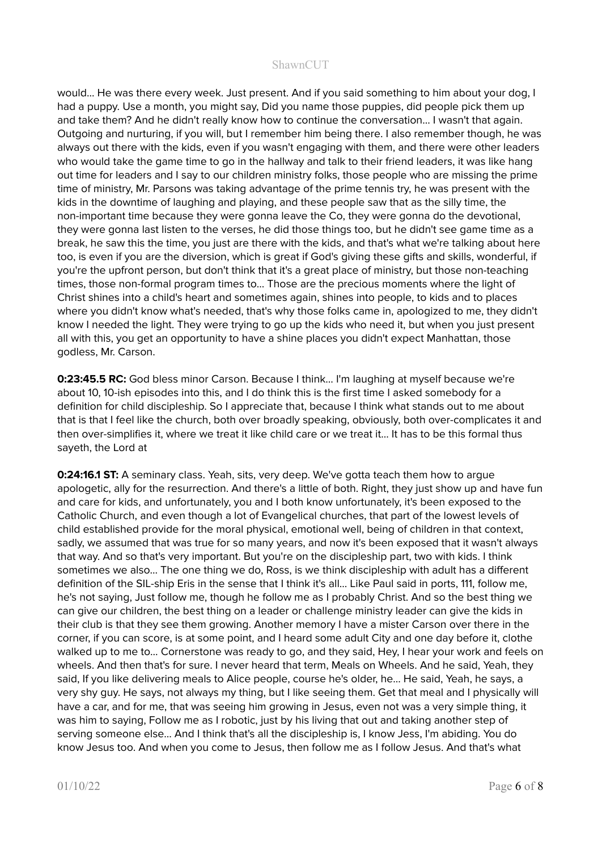would... He was there every week. Just present. And if you said something to him about your dog, I had a puppy. Use a month, you might say, Did you name those puppies, did people pick them up and take them? And he didn't really know how to continue the conversation... I wasn't that again. Outgoing and nurturing, if you will, but I remember him being there. I also remember though, he was always out there with the kids, even if you wasn't engaging with them, and there were other leaders who would take the game time to go in the hallway and talk to their friend leaders, it was like hang out time for leaders and I say to our children ministry folks, those people who are missing the prime time of ministry, Mr. Parsons was taking advantage of the prime tennis try, he was present with the kids in the downtime of laughing and playing, and these people saw that as the silly time, the non-important time because they were gonna leave the Co, they were gonna do the devotional, they were gonna last listen to the verses, he did those things too, but he didn't see game time as a break, he saw this the time, you just are there with the kids, and that's what we're talking about here too, is even if you are the diversion, which is great if God's giving these gifts and skills, wonderful, if you're the upfront person, but don't think that it's a great place of ministry, but those non-teaching times, those non-formal program times to… Those are the precious moments where the light of Christ shines into a child's heart and sometimes again, shines into people, to kids and to places where you didn't know what's needed, that's why those folks came in, apologized to me, they didn't know I needed the light. They were trying to go up the kids who need it, but when you just present all with this, you get an opportunity to have a shine places you didn't expect Manhattan, those godless, Mr. Carson.

**0:23:45.5 RC:** God bless minor Carson. Because I think... I'm laughing at myself because we're about 10, 10-ish episodes into this, and I do think this is the first time I asked somebody for a definition for child discipleship. So I appreciate that, because I think what stands out to me about that is that I feel like the church, both over broadly speaking, obviously, both over-complicates it and then over-simplifies it, where we treat it like child care or we treat it... It has to be this formal thus sayeth, the Lord at

**0:24:16.1 ST:** A seminary class. Yeah, sits, very deep. We've gotta teach them how to argue apologetic, ally for the resurrection. And there's a little of both. Right, they just show up and have fun and care for kids, and unfortunately, you and I both know unfortunately, it's been exposed to the Catholic Church, and even though a lot of Evangelical churches, that part of the lowest levels of child established provide for the moral physical, emotional well, being of children in that context, sadly, we assumed that was true for so many years, and now it's been exposed that it wasn't always that way. And so that's very important. But you're on the discipleship part, two with kids. I think sometimes we also... The one thing we do, Ross, is we think discipleship with adult has a different definition of the SIL-ship Eris in the sense that I think it's all... Like Paul said in ports, 111, follow me, he's not saying, Just follow me, though he follow me as I probably Christ. And so the best thing we can give our children, the best thing on a leader or challenge ministry leader can give the kids in their club is that they see them growing. Another memory I have a mister Carson over there in the corner, if you can score, is at some point, and I heard some adult City and one day before it, clothe walked up to me to... Cornerstone was ready to go, and they said, Hey, I hear your work and feels on wheels. And then that's for sure. I never heard that term, Meals on Wheels. And he said, Yeah, they said, If you like delivering meals to Alice people, course he's older, he... He said, Yeah, he says, a very shy guy. He says, not always my thing, but I like seeing them. Get that meal and I physically will have a car, and for me, that was seeing him growing in Jesus, even not was a very simple thing, it was him to saying, Follow me as I robotic, just by his living that out and taking another step of serving someone else... And I think that's all the discipleship is, I know Jess, I'm abiding. You do know Jesus too. And when you come to Jesus, then follow me as I follow Jesus. And that's what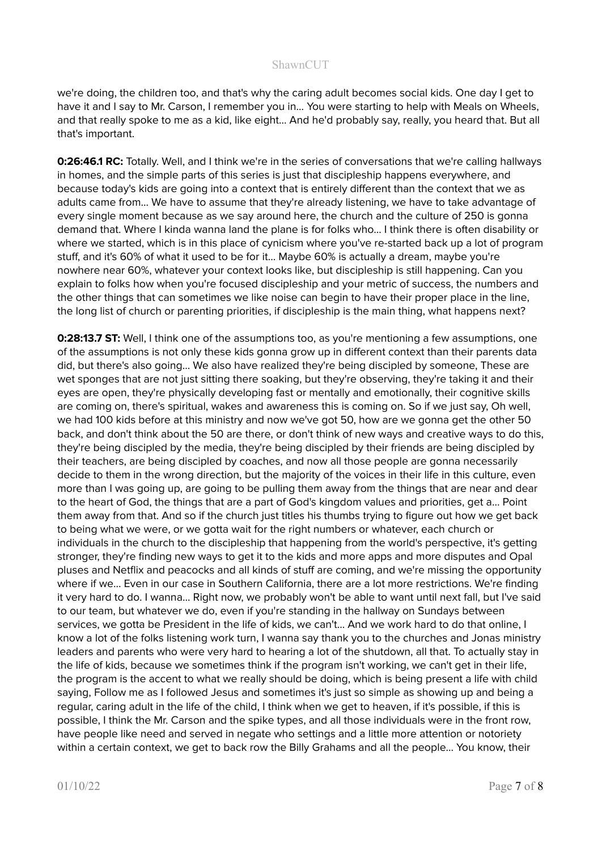we're doing, the children too, and that's why the caring adult becomes social kids. One day I get to have it and I say to Mr. Carson, I remember you in... You were starting to help with Meals on Wheels, and that really spoke to me as a kid, like eight... And he'd probably say, really, you heard that. But all that's important.

**0:26:46.1 RC:** Totally. Well, and I think we're in the series of conversations that we're calling hallways in homes, and the simple parts of this series is just that discipleship happens everywhere, and because today's kids are going into a context that is entirely different than the context that we as adults came from... We have to assume that they're already listening, we have to take advantage of every single moment because as we say around here, the church and the culture of 250 is gonna demand that. Where I kinda wanna land the plane is for folks who... I think there is often disability or where we started, which is in this place of cynicism where you've re-started back up a lot of program stuff, and it's 60% of what it used to be for it... Maybe 60% is actually a dream, maybe you're nowhere near 60%, whatever your context looks like, but discipleship is still happening. Can you explain to folks how when you're focused discipleship and your metric of success, the numbers and the other things that can sometimes we like noise can begin to have their proper place in the line, the long list of church or parenting priorities, if discipleship is the main thing, what happens next?

**0:28:13.7 ST:** Well, I think one of the assumptions too, as you're mentioning a few assumptions, one of the assumptions is not only these kids gonna grow up in different context than their parents data did, but there's also going... We also have realized they're being discipled by someone, These are wet sponges that are not just sitting there soaking, but they're observing, they're taking it and their eyes are open, they're physically developing fast or mentally and emotionally, their cognitive skills are coming on, there's spiritual, wakes and awareness this is coming on. So if we just say, Oh well, we had 100 kids before at this ministry and now we've got 50, how are we gonna get the other 50 back, and don't think about the 50 are there, or don't think of new ways and creative ways to do this, they're being discipled by the media, they're being discipled by their friends are being discipled by their teachers, are being discipled by coaches, and now all those people are gonna necessarily decide to them in the wrong direction, but the majority of the voices in their life in this culture, even more than I was going up, are going to be pulling them away from the things that are near and dear to the heart of God, the things that are a part of God's kingdom values and priorities, get a… Point them away from that. And so if the church just titles his thumbs trying to figure out how we get back to being what we were, or we gotta wait for the right numbers or whatever, each church or individuals in the church to the discipleship that happening from the world's perspective, it's getting stronger, they're finding new ways to get it to the kids and more apps and more disputes and Opal pluses and Netflix and peacocks and all kinds of stuff are coming, and we're missing the opportunity where if we... Even in our case in Southern California, there are a lot more restrictions. We're finding it very hard to do. I wanna... Right now, we probably won't be able to want until next fall, but I've said to our team, but whatever we do, even if you're standing in the hallway on Sundays between services, we gotta be President in the life of kids, we can't... And we work hard to do that online, I know a lot of the folks listening work turn, I wanna say thank you to the churches and Jonas ministry leaders and parents who were very hard to hearing a lot of the shutdown, all that. To actually stay in the life of kids, because we sometimes think if the program isn't working, we can't get in their life, the program is the accent to what we really should be doing, which is being present a life with child saying, Follow me as I followed Jesus and sometimes it's just so simple as showing up and being a regular, caring adult in the life of the child, I think when we get to heaven, if it's possible, if this is possible, I think the Mr. Carson and the spike types, and all those individuals were in the front row, have people like need and served in negate who settings and a little more attention or notoriety within a certain context, we get to back row the Billy Grahams and all the people... You know, their